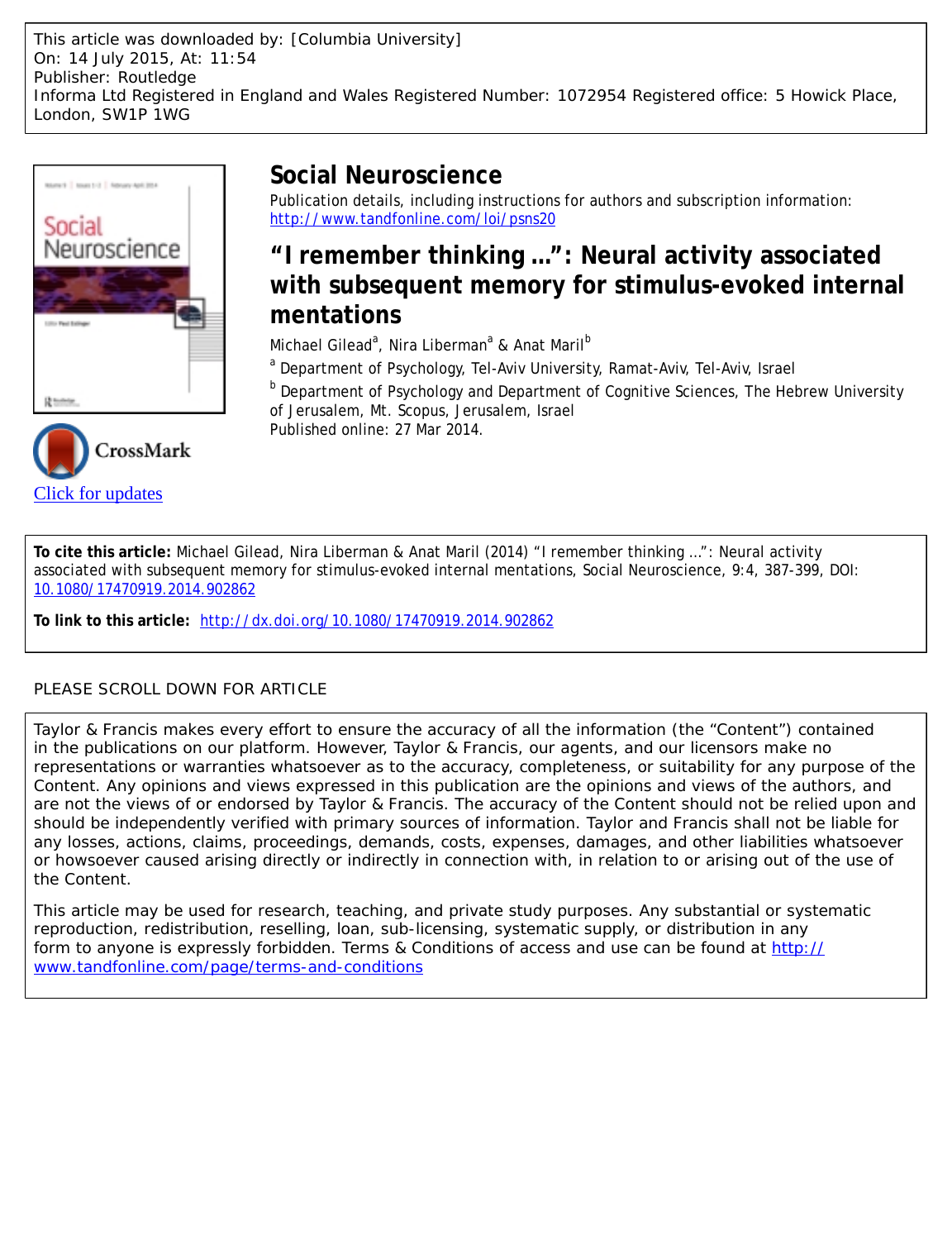This article was downloaded by: [Columbia University] On: 14 July 2015, At: 11:54 Publisher: Routledge Informa Ltd Registered in England and Wales Registered Number: 1072954 Registered office: 5 Howick Place, London, SW1P 1WG



[Click for updates](http://crossmark.crossref.org/dialog/?doi=10.1080/17470919.2014.902862&domain=pdf&date_stamp=2014-03-27)

# **Social Neuroscience**

Publication details, including instructions for authors and subscription information: <http://www.tandfonline.com/loi/psns20>

**"I remember thinking …": Neural activity associated with subsequent memory for stimulus-evoked internal mentations**

Michael Gilead<sup>a</sup>, Nira Liberman<sup>a</sup> & Anat Maril<sup>b</sup>

<sup>a</sup> Department of Psychology, Tel-Aviv University, Ramat-Aviv, Tel-Aviv, Israel

**b** Department of Psychology and Department of Cognitive Sciences, The Hebrew University of Jerusalem, Mt. Scopus, Jerusalem, Israel

Published online: 27 Mar 2014.

**To cite this article:** Michael Gilead, Nira Liberman & Anat Maril (2014) "I remember thinking …": Neural activity associated with subsequent memory for stimulus-evoked internal mentations, Social Neuroscience, 9:4, 387-399, DOI: [10.1080/17470919.2014.902862](http://www.tandfonline.com/action/showCitFormats?doi=10.1080/17470919.2014.902862)

**To link to this article:** <http://dx.doi.org/10.1080/17470919.2014.902862>

# PLEASE SCROLL DOWN FOR ARTICLE

Taylor & Francis makes every effort to ensure the accuracy of all the information (the "Content") contained in the publications on our platform. However, Taylor & Francis, our agents, and our licensors make no representations or warranties whatsoever as to the accuracy, completeness, or suitability for any purpose of the Content. Any opinions and views expressed in this publication are the opinions and views of the authors, and are not the views of or endorsed by Taylor & Francis. The accuracy of the Content should not be relied upon and should be independently verified with primary sources of information. Taylor and Francis shall not be liable for any losses, actions, claims, proceedings, demands, costs, expenses, damages, and other liabilities whatsoever or howsoever caused arising directly or indirectly in connection with, in relation to or arising out of the use of the Content.

This article may be used for research, teaching, and private study purposes. Any substantial or systematic reproduction, redistribution, reselling, loan, sub-licensing, systematic supply, or distribution in any form to anyone is expressly forbidden. Terms & Conditions of access and use can be found at [http://](http://www.tandfonline.com/page/terms-and-conditions) [www.tandfonline.com/page/terms-and-conditions](http://www.tandfonline.com/page/terms-and-conditions)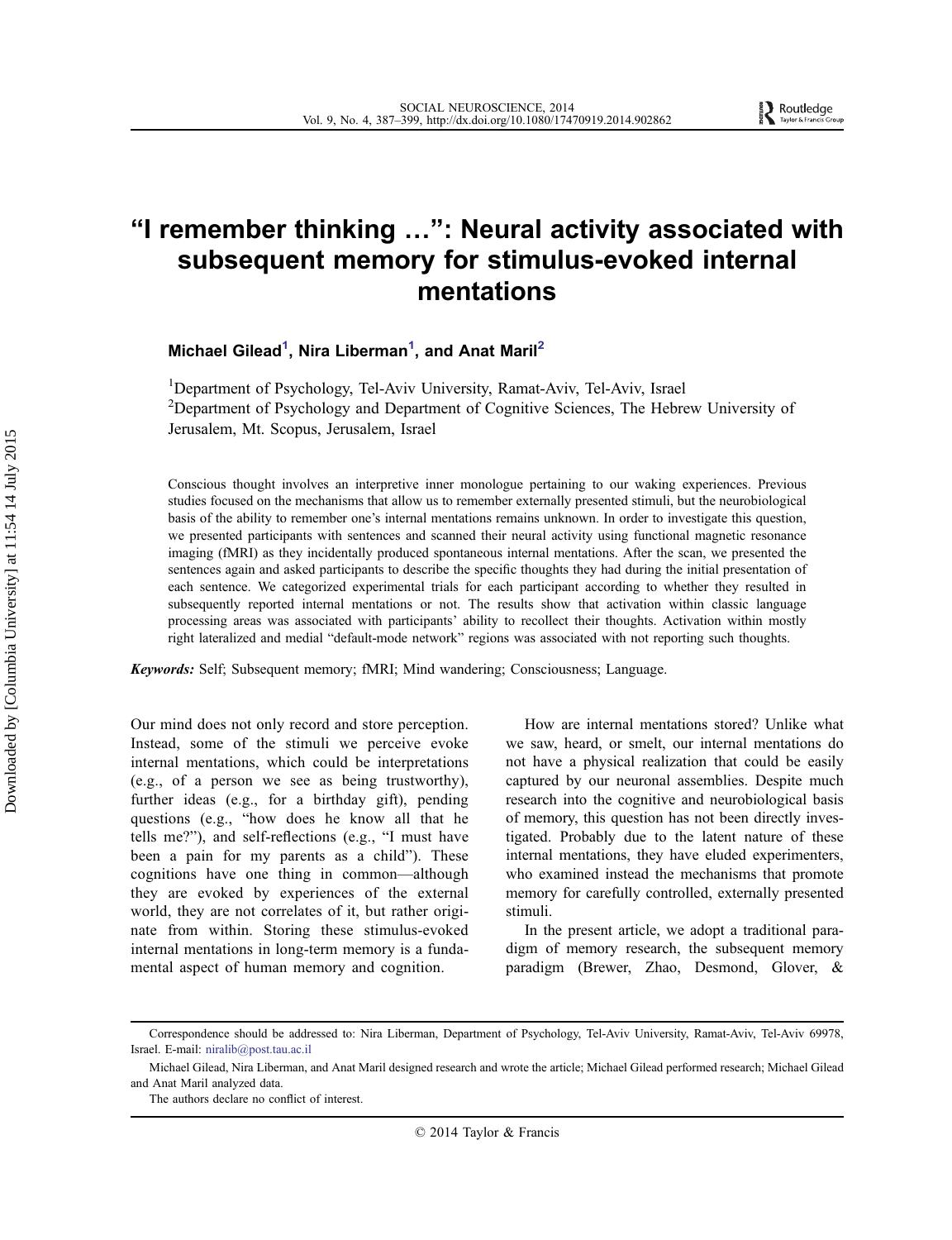# "I remember thinking …": Neural activity associated with subsequent memory for stimulus-evoked internal mentations

Michael Gilead<sup>1</sup>, Nira Liberman<sup>1</sup>, and Anat Maril<sup>2</sup>

<sup>1</sup>Department of Psychology, Tel-Aviv University, Ramat-Aviv, Tel-Aviv, Israel <sup>2</sup>Department of Psychology and Department of Cognitive Sciences, The Hebrew University of Jerusalem, Mt. Scopus, Jerusalem, Israel

Conscious thought involves an interpretive inner monologue pertaining to our waking experiences. Previous studies focused on the mechanisms that allow us to remember externally presented stimuli, but the neurobiological basis of the ability to remember one's internal mentations remains unknown. In order to investigate this question, we presented participants with sentences and scanned their neural activity using functional magnetic resonance imaging (fMRI) as they incidentally produced spontaneous internal mentations. After the scan, we presented the sentences again and asked participants to describe the specific thoughts they had during the initial presentation of each sentence. We categorized experimental trials for each participant according to whether they resulted in subsequently reported internal mentations or not. The results show that activation within classic language processing areas was associated with participants' ability to recollect their thoughts. Activation within mostly right lateralized and medial "default-mode network" regions was associated with not reporting such thoughts.

Keywords: Self; Subsequent memory; fMRI; Mind wandering; Consciousness; Language.

Our mind does not only record and store perception. Instead, some of the stimuli we perceive evoke internal mentations, which could be interpretations (e.g., of a person we see as being trustworthy), further ideas (e.g., for a birthday gift), pending questions (e.g., "how does he know all that he tells me?"), and self-reflections (e.g., "I must have been a pain for my parents as a child"). These cognitions have one thing in common—although they are evoked by experiences of the external world, they are not correlates of it, but rather originate from within. Storing these stimulus-evoked internal mentations in long-term memory is a fundamental aspect of human memory and cognition.

How are internal mentations stored? Unlike what we saw, heard, or smelt, our internal mentations do not have a physical realization that could be easily captured by our neuronal assemblies. Despite much research into the cognitive and neurobiological basis of memory, this question has not been directly investigated. Probably due to the latent nature of these internal mentations, they have eluded experimenters, who examined instead the mechanisms that promote memory for carefully controlled, externally presented stimuli.

In the present article, we adopt a traditional paradigm of memory research, the subsequent memory paradigm (Brewer, Zhao, Desmond, Glover, &

Correspondence should be addressed to: Nira Liberman, Department of Psychology, Tel-Aviv University, Ramat-Aviv, Tel-Aviv 69978, Israel. E-mail: niralib@post.tau.ac.il

Michael Gilead, Nira Liberman, and Anat Maril designed research and wrote the article; Michael Gilead performed research; Michael Gilead and Anat Maril analyzed data.

The authors declare no conflict of interest.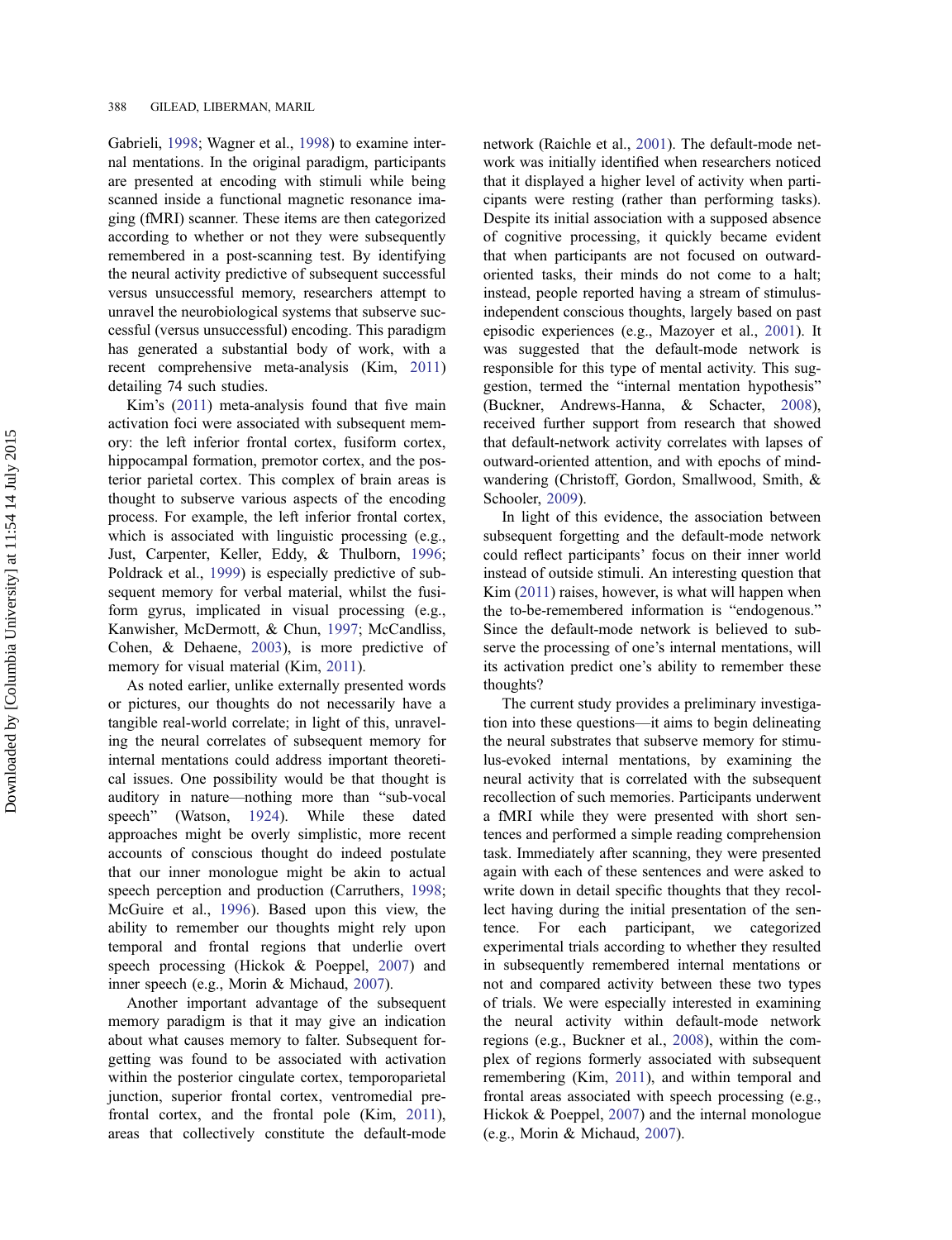Gabrieli, [1998;](#page-11-0) Wagner et al., [1998](#page-13-0)) to examine internal mentations. In the original paradigm, participants are presented at encoding with stimuli while being scanned inside a functional magnetic resonance imaging (fMRI) scanner. These items are then categorized according to whether or not they were subsequently remembered in a post-scanning test. By identifying the neural activity predictive of subsequent successful versus unsuccessful memory, researchers attempt to unravel the neurobiological systems that subserve successful (versus unsuccessful) encoding. This paradigm has generated a substantial body of work, with a recent comprehensive meta-analysis (Kim, [2011](#page-12-0)) detailing 74 such studies.

Kim's [\(2011\)](#page-12-0) meta-analysis found that five main activation foci were associated with subsequent memory: the left inferior frontal cortex, fusiform cortex, hippocampal formation, premotor cortex, and the posterior parietal cortex. This complex of brain areas is thought to subserve various aspects of the encoding process. For example, the left inferior frontal cortex, which is associated with linguistic processing (e.g., Just, Carpenter, Keller, Eddy, & Thulborn, [1996;](#page-12-0) Poldrack et al., [1999](#page-12-0)) is especially predictive of subsequent memory for verbal material, whilst the fusiform gyrus, implicated in visual processing (e.g., Kanwisher, McDermott, & Chun, [1997](#page-12-0); McCandliss, Cohen, & Dehaene, [2003\)](#page-12-0), is more predictive of memory for visual material (Kim, [2011\)](#page-12-0).

As noted earlier, unlike externally presented words or pictures, our thoughts do not necessarily have a tangible real-world correlate; in light of this, unraveling the neural correlates of subsequent memory for internal mentations could address important theoretical issues. One possibility would be that thought is auditory in nature—nothing more than "sub-vocal speech" (Watson, [1924](#page-13-0)). While these dated approaches might be overly simplistic, more recent accounts of conscious thought do indeed postulate that our inner monologue might be akin to actual speech perception and production (Carruthers, [1998;](#page-12-0) McGuire et al., [1996\)](#page-12-0). Based upon this view, the ability to remember our thoughts might rely upon temporal and frontal regions that underlie overt speech processing (Hickok & Poeppel, [2007](#page-12-0)) and inner speech (e.g., Morin & Michaud, [2007](#page-12-0)).

Another important advantage of the subsequent memory paradigm is that it may give an indication about what causes memory to falter. Subsequent forgetting was found to be associated with activation within the posterior cingulate cortex, temporoparietal junction, superior frontal cortex, ventromedial prefrontal cortex, and the frontal pole (Kim, [2011\)](#page-12-0), areas that collectively constitute the default-mode

network (Raichle et al., [2001](#page-12-0)). The default-mode network was initially identified when researchers noticed that it displayed a higher level of activity when participants were resting (rather than performing tasks). Despite its initial association with a supposed absence of cognitive processing, it quickly became evident that when participants are not focused on outwardoriented tasks, their minds do not come to a halt; instead, people reported having a stream of stimulusindependent conscious thoughts, largely based on past episodic experiences (e.g., Mazoyer et al., [2001\)](#page-12-0). It was suggested that the default-mode network is responsible for this type of mental activity. This suggestion, termed the "internal mentation hypothesis" (Buckner, Andrews-Hanna, & Schacter, [2008](#page-11-0)), received further support from research that showed that default-network activity correlates with lapses of outward-oriented attention, and with epochs of mindwandering (Christoff, Gordon, Smallwood, Smith, & Schooler, [2009](#page-12-0)).

In light of this evidence, the association between subsequent forgetting and the default-mode network could reflect participants' focus on their inner world instead of outside stimuli. An interesting question that Kim ([2011](#page-12-0)) raises, however, is what will happen when the to-be-remembered information is "endogenous." Since the default-mode network is believed to subserve the processing of one's internal mentations, will its activation predict one's ability to remember these thoughts?

The current study provides a preliminary investigation into these questions—it aims to begin delineating the neural substrates that subserve memory for stimulus-evoked internal mentations, by examining the neural activity that is correlated with the subsequent recollection of such memories. Participants underwent a fMRI while they were presented with short sentences and performed a simple reading comprehension task. Immediately after scanning, they were presented again with each of these sentences and were asked to write down in detail specific thoughts that they recollect having during the initial presentation of the sentence. For each participant, we categorized experimental trials according to whether they resulted in subsequently remembered internal mentations or not and compared activity between these two types of trials. We were especially interested in examining the neural activity within default-mode network regions (e.g., Buckner et al., [2008\)](#page-11-0), within the complex of regions formerly associated with subsequent remembering (Kim, [2011\)](#page-12-0), and within temporal and frontal areas associated with speech processing (e.g., Hickok & Poeppel, [2007\)](#page-12-0) and the internal monologue (e.g., Morin & Michaud, [2007\)](#page-12-0).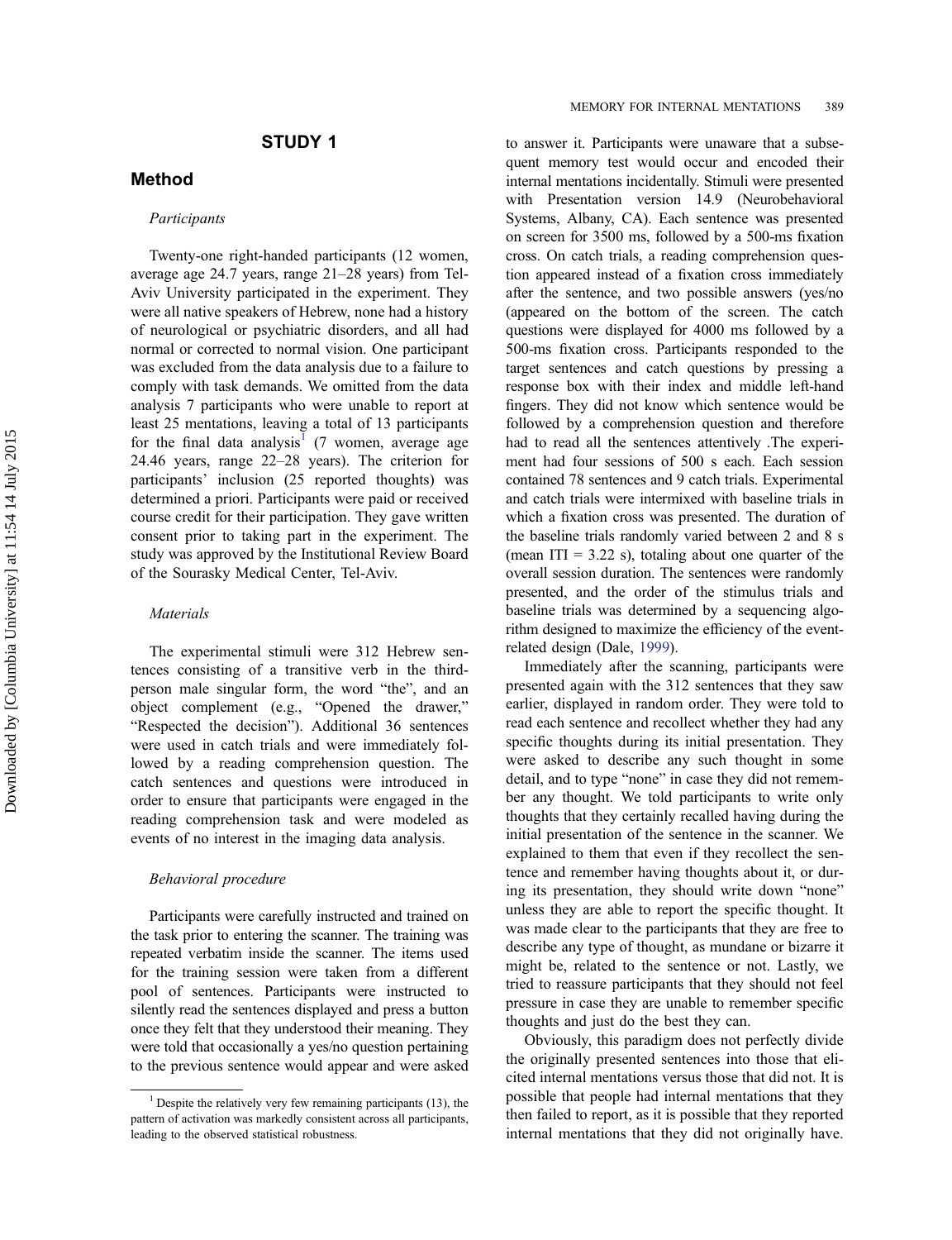## Method

#### Participants

Twenty-one right-handed participants (12 women, average age 24.7 years, range 21–28 years) from Tel-Aviv University participated in the experiment. They were all native speakers of Hebrew, none had a history of neurological or psychiatric disorders, and all had normal or corrected to normal vision. One participant was excluded from the data analysis due to a failure to comply with task demands. We omitted from the data analysis 7 participants who were unable to report at least 25 mentations, leaving a total of 13 participants for the final data analysis<sup>1</sup> (7 women, average age 24.46 years, range 22–28 years). The criterion for participants' inclusion (25 reported thoughts) was determined a priori. Participants were paid or received course credit for their participation. They gave written consent prior to taking part in the experiment. The study was approved by the Institutional Review Board of the Sourasky Medical Center, Tel-Aviv.

## **Materials**

The experimental stimuli were 312 Hebrew sentences consisting of a transitive verb in the thirdperson male singular form, the word "the", and an object complement (e.g., "Opened the drawer," "Respected the decision"). Additional 36 sentences were used in catch trials and were immediately followed by a reading comprehension question. The catch sentences and questions were introduced in order to ensure that participants were engaged in the reading comprehension task and were modeled as events of no interest in the imaging data analysis.

#### Behavioral procedure

Participants were carefully instructed and trained on the task prior to entering the scanner. The training was repeated verbatim inside the scanner. The items used for the training session were taken from a different pool of sentences. Participants were instructed to silently read the sentences displayed and press a button once they felt that they understood their meaning. They were told that occasionally a yes/no question pertaining to the previous sentence would appear and were asked to answer it. Participants were unaware that a subsequent memory test would occur and encoded their internal mentations incidentally. Stimuli were presented with Presentation version 14.9 (Neurobehavioral Systems, Albany, CA). Each sentence was presented on screen for 3500 ms, followed by a 500-ms fixation cross. On catch trials, a reading comprehension question appeared instead of a fixation cross immediately after the sentence, and two possible answers (yes/no (appeared on the bottom of the screen. The catch questions were displayed for 4000 ms followed by a 500-ms fixation cross. Participants responded to the target sentences and catch questions by pressing a response box with their index and middle left-hand fingers. They did not know which sentence would be followed by a comprehension question and therefore had to read all the sentences attentively .The experiment had four sessions of 500 s each. Each session contained 78 sentences and 9 catch trials. Experimental and catch trials were intermixed with baseline trials in which a fixation cross was presented. The duration of the baseline trials randomly varied between 2 and 8 s (mean ITI =  $3.22$  s), totaling about one quarter of the overall session duration. The sentences were randomly presented, and the order of the stimulus trials and baseline trials was determined by a sequencing algorithm designed to maximize the efficiency of the eventrelated design (Dale, [1999\)](#page-12-0).

Immediately after the scanning, participants were presented again with the 312 sentences that they saw earlier, displayed in random order. They were told to read each sentence and recollect whether they had any specific thoughts during its initial presentation. They were asked to describe any such thought in some detail, and to type "none" in case they did not remember any thought. We told participants to write only thoughts that they certainly recalled having during the initial presentation of the sentence in the scanner. We explained to them that even if they recollect the sentence and remember having thoughts about it, or during its presentation, they should write down "none" unless they are able to report the specific thought. It was made clear to the participants that they are free to describe any type of thought, as mundane or bizarre it might be, related to the sentence or not. Lastly, we tried to reassure participants that they should not feel pressure in case they are unable to remember specific thoughts and just do the best they can.

Obviously, this paradigm does not perfectly divide the originally presented sentences into those that elicited internal mentations versus those that did not. It is possible that people had internal mentations that they then failed to report, as it is possible that they reported internal mentations that they did not originally have.

 $<sup>1</sup>$  Despite the relatively very few remaining participants (13), the</sup> pattern of activation was markedly consistent across all participants, leading to the observed statistical robustness.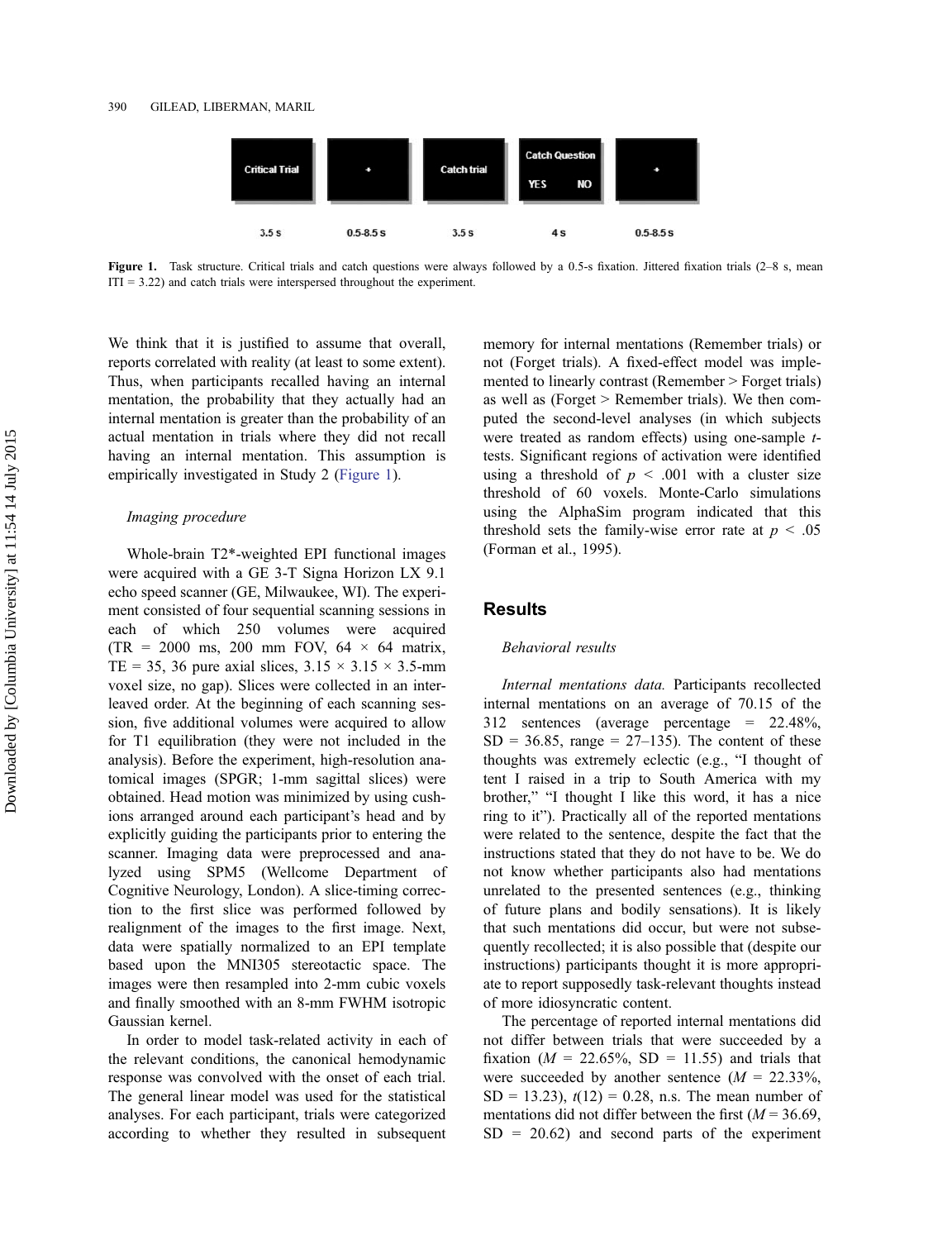

Figure 1. Task structure. Critical trials and catch questions were always followed by a 0.5-s fixation. Jittered fixation trials (2–8 s, mean  $ITI = 3.22$ ) and catch trials were interspersed throughout the experiment.

We think that it is justified to assume that overall, reports correlated with reality (at least to some extent). Thus, when participants recalled having an internal mentation, the probability that they actually had an internal mentation is greater than the probability of an actual mentation in trials where they did not recall having an internal mentation. This assumption is empirically investigated in Study 2 (Figure 1).

### Imaging procedure

Whole-brain T2\*-weighted EPI functional images were acquired with a GE 3-T Signa Horizon LX 9.1 echo speed scanner (GE, Milwaukee, WI). The experiment consisted of four sequential scanning sessions in each of which 250 volumes were acquired  $(TR = 2000$  ms, 200 mm FOV, 64  $\times$  64 matrix, TE = 35, 36 pure axial slices,  $3.15 \times 3.15 \times 3.5$ -mm voxel size, no gap). Slices were collected in an interleaved order. At the beginning of each scanning session, five additional volumes were acquired to allow for T1 equilibration (they were not included in the analysis). Before the experiment, high-resolution anatomical images (SPGR; 1-mm sagittal slices) were obtained. Head motion was minimized by using cushions arranged around each participant's head and by explicitly guiding the participants prior to entering the scanner. Imaging data were preprocessed and analyzed using SPM5 (Wellcome Department of Cognitive Neurology, London). A slice-timing correction to the first slice was performed followed by realignment of the images to the first image. Next, data were spatially normalized to an EPI template based upon the MNI305 stereotactic space. The images were then resampled into 2-mm cubic voxels and finally smoothed with an 8-mm FWHM isotropic Gaussian kernel.

In order to model task-related activity in each of the relevant conditions, the canonical hemodynamic response was convolved with the onset of each trial. The general linear model was used for the statistical analyses. For each participant, trials were categorized according to whether they resulted in subsequent

memory for internal mentations (Remember trials) or not (Forget trials). A fixed-effect model was implemented to linearly contrast (Remember > Forget trials) as well as (Forget > Remember trials). We then computed the second-level analyses (in which subjects were treated as random effects) using one-sample ttests. Significant regions of activation were identified using a threshold of  $p < .001$  with a cluster size threshold of 60 voxels. Monte-Carlo simulations using the AlphaSim program indicated that this threshold sets the family-wise error rate at  $p < .05$ (Forman et al., 1995).

## **Results**

## Behavioral results

Internal mentations data. Participants recollected internal mentations on an average of 70.15 of the 312 sentences (average percentage = 22.48%,  $SD = 36.85$ , range = 27–135). The content of these thoughts was extremely eclectic (e.g., "I thought of tent I raised in a trip to South America with my brother," "I thought I like this word, it has a nice ring to it"). Practically all of the reported mentations were related to the sentence, despite the fact that the instructions stated that they do not have to be. We do not know whether participants also had mentations unrelated to the presented sentences (e.g., thinking of future plans and bodily sensations). It is likely that such mentations did occur, but were not subsequently recollected; it is also possible that (despite our instructions) participants thought it is more appropriate to report supposedly task-relevant thoughts instead of more idiosyncratic content.

The percentage of reported internal mentations did not differ between trials that were succeeded by a fixation ( $M = 22.65\%$ , SD = 11.55) and trials that were succeeded by another sentence  $(M = 22.33\%,$  $SD = 13.23$ ,  $t(12) = 0.28$ , n.s. The mean number of mentations did not differ between the first ( $M = 36.69$ ,  $SD = 20.62$ ) and second parts of the experiment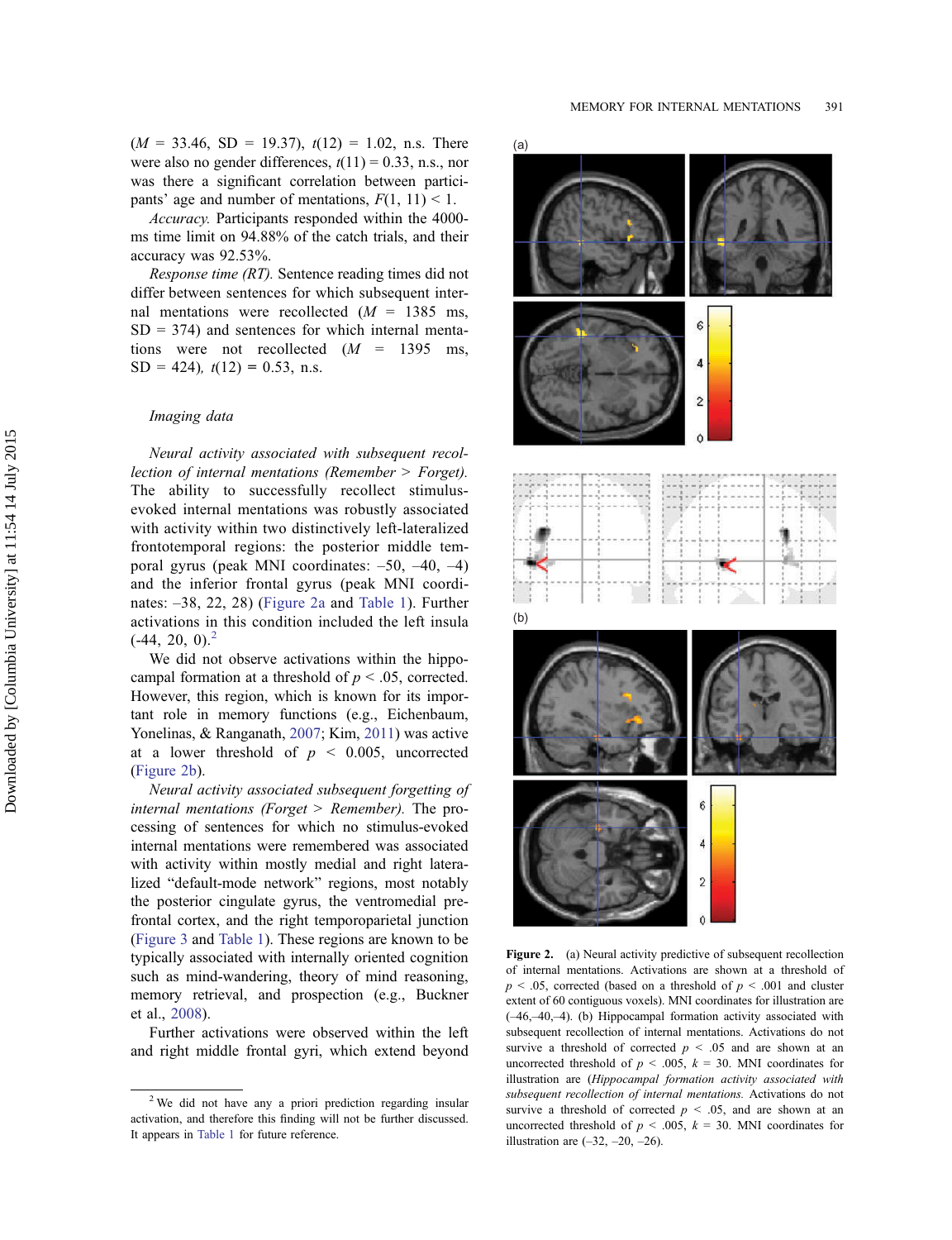$(M = 33.46, SD = 19.37), t(12) = 1.02, n.s.$  There were also no gender differences,  $t(11) = 0.33$ , n.s., nor was there a significant correlation between participants' age and number of mentations,  $F(1, 11) < 1$ .

Accuracy. Participants responded within the 4000 ms time limit on 94.88% of the catch trials, and their accuracy was 92.53%.

Response time (RT). Sentence reading times did not differ between sentences for which subsequent internal mentations were recollected  $(M = 1385 \text{ ms})$ ,  $SD = 374$ ) and sentences for which internal mentations were not recollected  $(M = 1395 \text{ ms})$ ,  $SD = 424$ ,  $t(12) = 0.53$ , n.s.

#### Imaging data

Neural activity associated with subsequent recollection of internal mentations (Remember > Forget). The ability to successfully recollect stimulusevoked internal mentations was robustly associated with activity within two distinctively left-lateralized frontotemporal regions: the posterior middle temporal gyrus (peak MNI coordinates: –50, –40, –4) and the inferior frontal gyrus (peak MNI coordinates: –38, 22, 28) (Figure 2a and [Table 1\)](#page-6-0). Further activations in this condition included the left insula  $(-44, 20, 0)^2$ 

We did not observe activations within the hippocampal formation at a threshold of  $p < .05$ , corrected. However, this region, which is known for its important role in memory functions (e.g., Eichenbaum, Yonelinas, & Ranganath, [2007](#page-12-0); Kim, [2011\)](#page-12-0) was active at a lower threshold of  $p \leq 0.005$ , uncorrected (Figure 2b).

Neural activity associated subsequent forgetting of internal mentations (Forget  $>$  Remember). The processing of sentences for which no stimulus-evoked internal mentations were remembered was associated with activity within mostly medial and right lateralized "default-mode network" regions, most notably the posterior cingulate gyrus, the ventromedial prefrontal cortex, and the right temporoparietal junction ([Figure 3](#page-6-0) and [Table 1\)](#page-6-0). These regions are known to be typically associated with internally oriented cognition such as mind-wandering, theory of mind reasoning, memory retrieval, and prospection (e.g., Buckner et al., [2008](#page-11-0)).

Further activations were observed within the left and right middle frontal gyri, which extend beyond



Figure 2. (a) Neural activity predictive of subsequent recollection of internal mentations. Activations are shown at a threshold of  $p < .05$ , corrected (based on a threshold of  $p < .001$  and cluster extent of 60 contiguous voxels). MNI coordinates for illustration are (–46,–40,–4). (b) Hippocampal formation activity associated with subsequent recollection of internal mentations. Activations do not survive a threshold of corrected  $p \leq .05$  and are shown at an uncorrected threshold of  $p < .005$ ,  $k = 30$ . MNI coordinates for illustration are (Hippocampal formation activity associated with subsequent recollection of internal mentations. Activations do not survive a threshold of corrected  $p \leq .05$ , and are shown at an uncorrected threshold of  $p < .005$ ,  $k = 30$ . MNI coordinates for illustration are  $(-32, -20, -26)$ .

<sup>&</sup>lt;sup>2</sup> We did not have any a priori prediction regarding insular activation, and therefore this finding will not be further discussed. It appears in [Table 1](#page-6-0) for future reference.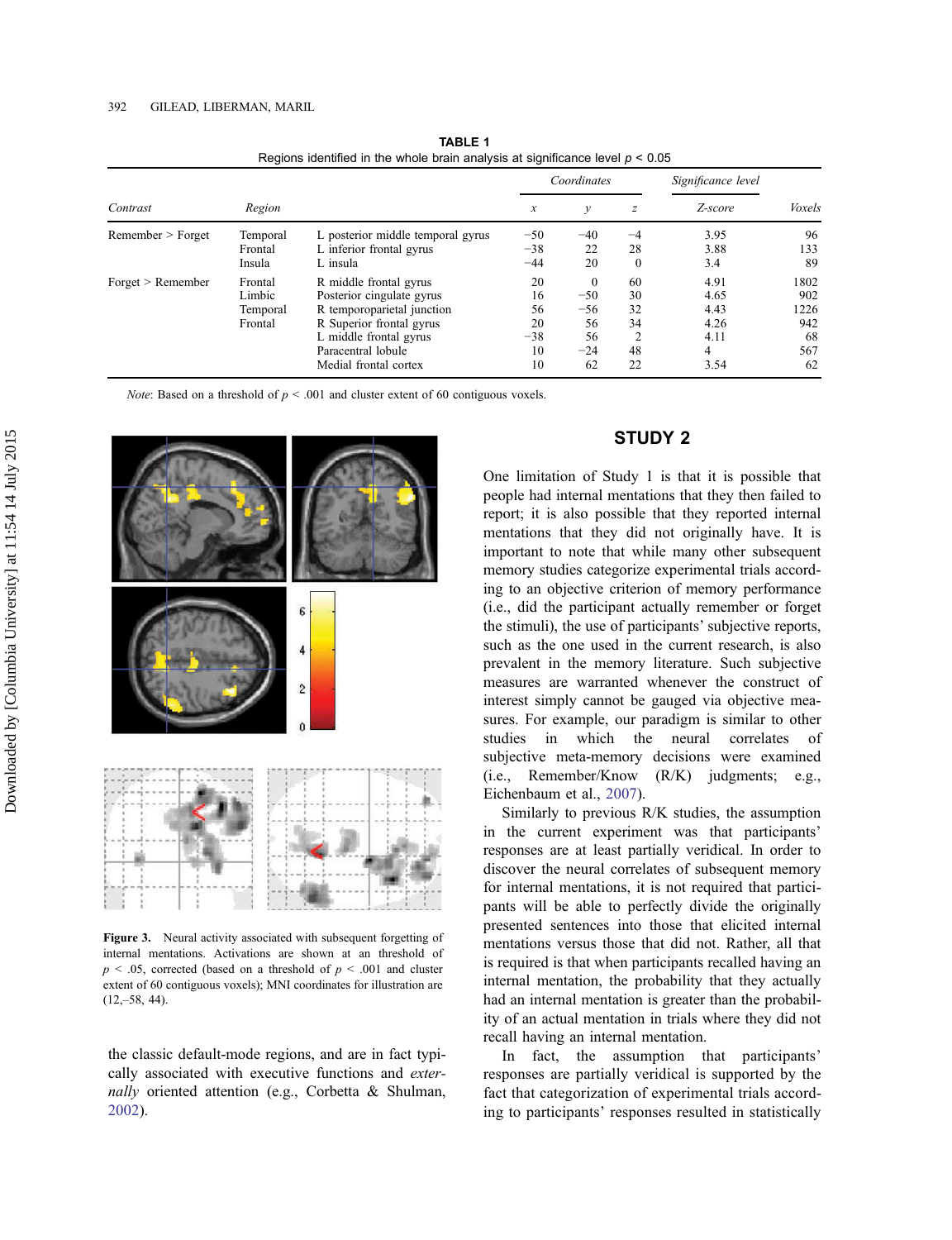<span id="page-6-0"></span>

|                    |          |                                   | Coordinates      |               | Significance level |         |        |
|--------------------|----------|-----------------------------------|------------------|---------------|--------------------|---------|--------|
| Contrast           | Region   |                                   | $\boldsymbol{x}$ | $\mathcal{Y}$ | z                  | Z-score | Voxels |
| Remember > Forget  | Temporal | L posterior middle temporal gyrus | $-50$            | $-40$         | $-4$               | 3.95    | 96     |
|                    | Frontal  | L inferior frontal gyrus          | $-38$            | 22            | 28                 | 3.88    | 133    |
|                    | Insula   | L insula                          | $-44$            | 20            | $\Omega$           | 3.4     | 89     |
| For get > Remember | Frontal  | R middle frontal gyrus            | 20               | $\theta$      | 60                 | 4.91    | 1802   |
|                    | Limbic   | Posterior cingulate gyrus         | 16               | $-50$         | 30                 | 4.65    | 902    |
|                    | Temporal | R temporoparietal junction        | 56               | -56           | 32                 | 4.43    | 1226   |
|                    | Frontal  | R Superior frontal gyrus          | 20               | 56            | 34                 | 4.26    | 942    |
|                    |          | L middle frontal gyrus            | $-38$            | 56            | ↑                  | 4.11    | 68     |
|                    |          | Paracentral lobule                | 10               | $-24$         | 48                 | 4       | 567    |
|                    |          | Medial frontal cortex             | 10               | 62            | 22                 | 3.54    | 62     |

TABLE 1 Regions identified in the whole brain analysis at significance level p < 0.05

*Note*: Based on a threshold of  $p < .001$  and cluster extent of 60 contiguous voxels.



Figure 3. Neural activity associated with subsequent forgetting of internal mentations. Activations are shown at an threshold of  $p \leq 0.05$ , corrected (based on a threshold of  $p \leq 0.001$  and cluster extent of 60 contiguous voxels); MNI coordinates for illustration are  $(12,-58, 44)$ .

the classic default-mode regions, and are in fact typically associated with executive functions and *exter*nally oriented attention (e.g., Corbetta & Shulman, [2002](#page-12-0)).

# STUDY 2

One limitation of Study 1 is that it is possible that people had internal mentations that they then failed to report; it is also possible that they reported internal mentations that they did not originally have. It is important to note that while many other subsequent memory studies categorize experimental trials according to an objective criterion of memory performance (i.e., did the participant actually remember or forget the stimuli), the use of participants' subjective reports, such as the one used in the current research, is also prevalent in the memory literature. Such subjective measures are warranted whenever the construct of interest simply cannot be gauged via objective measures. For example, our paradigm is similar to other studies in which the neural correlates of subjective meta-memory decisions were examined (i.e., Remember/Know (R/K) judgments; e.g., Eichenbaum et al., [2007\)](#page-12-0).

Similarly to previous R/K studies, the assumption in the current experiment was that participants' responses are at least partially veridical. In order to discover the neural correlates of subsequent memory for internal mentations, it is not required that participants will be able to perfectly divide the originally presented sentences into those that elicited internal mentations versus those that did not. Rather, all that is required is that when participants recalled having an internal mentation, the probability that they actually had an internal mentation is greater than the probability of an actual mentation in trials where they did not recall having an internal mentation.

In fact, the assumption that participants' responses are partially veridical is supported by the fact that categorization of experimental trials according to participants' responses resulted in statistically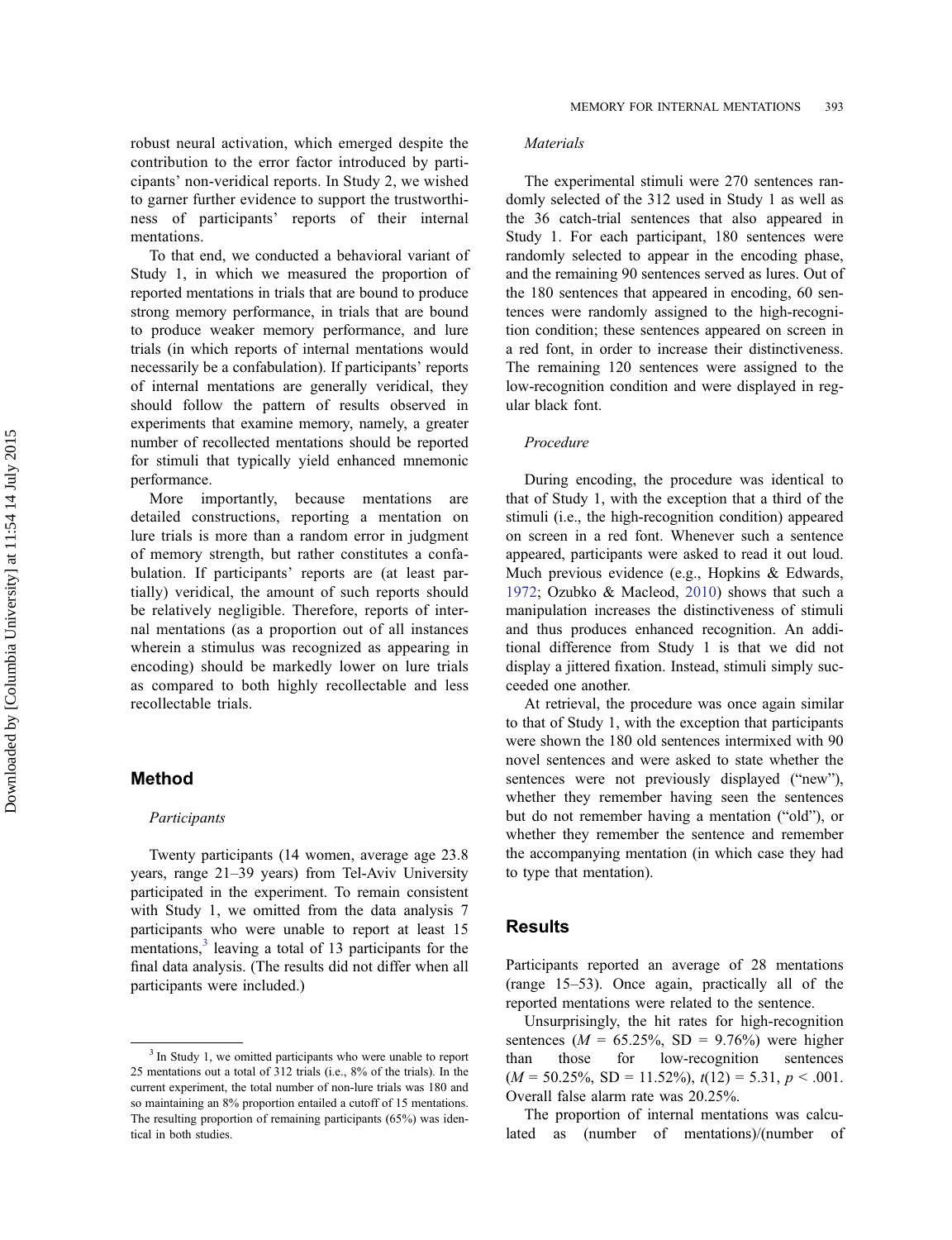robust neural activation, which emerged despite the contribution to the error factor introduced by participants' non-veridical reports. In Study 2, we wished to garner further evidence to support the trustworthiness of participants' reports of their internal mentations.

To that end, we conducted a behavioral variant of Study 1, in which we measured the proportion of reported mentations in trials that are bound to produce strong memory performance, in trials that are bound to produce weaker memory performance, and lure trials (in which reports of internal mentations would necessarily be a confabulation). If participants' reports of internal mentations are generally veridical, they should follow the pattern of results observed in experiments that examine memory, namely, a greater number of recollected mentations should be reported for stimuli that typically yield enhanced mnemonic performance.

More importantly, because mentations are detailed constructions, reporting a mentation on lure trials is more than a random error in judgment of memory strength, but rather constitutes a confabulation. If participants' reports are (at least partially) veridical, the amount of such reports should be relatively negligible. Therefore, reports of internal mentations (as a proportion out of all instances wherein a stimulus was recognized as appearing in encoding) should be markedly lower on lure trials as compared to both highly recollectable and less recollectable trials.

## Method

#### Participants

Twenty participants (14 women, average age 23.8 years, range 21–39 years) from Tel-Aviv University participated in the experiment. To remain consistent with Study 1, we omitted from the data analysis 7 participants who were unable to report at least 15 mentations,<sup>3</sup> leaving a total of 13 participants for the final data analysis. (The results did not differ when all participants were included.)

#### **Materials**

The experimental stimuli were 270 sentences randomly selected of the 312 used in Study 1 as well as the 36 catch-trial sentences that also appeared in Study 1. For each participant, 180 sentences were randomly selected to appear in the encoding phase, and the remaining 90 sentences served as lures. Out of the 180 sentences that appeared in encoding, 60 sentences were randomly assigned to the high-recognition condition; these sentences appeared on screen in a red font, in order to increase their distinctiveness. The remaining 120 sentences were assigned to the low-recognition condition and were displayed in regular black font.

## Procedure

During encoding, the procedure was identical to that of Study 1, with the exception that a third of the stimuli (i.e., the high-recognition condition) appeared on screen in a red font. Whenever such a sentence appeared, participants were asked to read it out loud. Much previous evidence (e.g., Hopkins & Edwards, [1972;](#page-12-0) Ozubko & Macleod, [2010\)](#page-12-0) shows that such a manipulation increases the distinctiveness of stimuli and thus produces enhanced recognition. An additional difference from Study 1 is that we did not display a jittered fixation. Instead, stimuli simply succeeded one another.

At retrieval, the procedure was once again similar to that of Study 1, with the exception that participants were shown the 180 old sentences intermixed with 90 novel sentences and were asked to state whether the sentences were not previously displayed ("new"), whether they remember having seen the sentences but do not remember having a mentation ("old"), or whether they remember the sentence and remember the accompanying mentation (in which case they had to type that mentation).

## Results

Participants reported an average of 28 mentations (range 15–53). Once again, practically all of the reported mentations were related to the sentence.

Unsurprisingly, the hit rates for high-recognition sentences ( $M = 65.25\%$ , SD = 9.76%) were higher than those for low-recognition sentences  $(M = 50.25\%, SD = 11.52\%), t(12) = 5.31, p < .001.$ Overall false alarm rate was 20.25%.

The proportion of internal mentations was calculated as (number of mentations)/(number of

<sup>&</sup>lt;sup>3</sup> In Study 1, we omitted participants who were unable to report 25 mentations out a total of 312 trials (i.e., 8% of the trials). In the current experiment, the total number of non-lure trials was 180 and so maintaining an 8% proportion entailed a cutoff of 15 mentations. The resulting proportion of remaining participants (65%) was identical in both studies.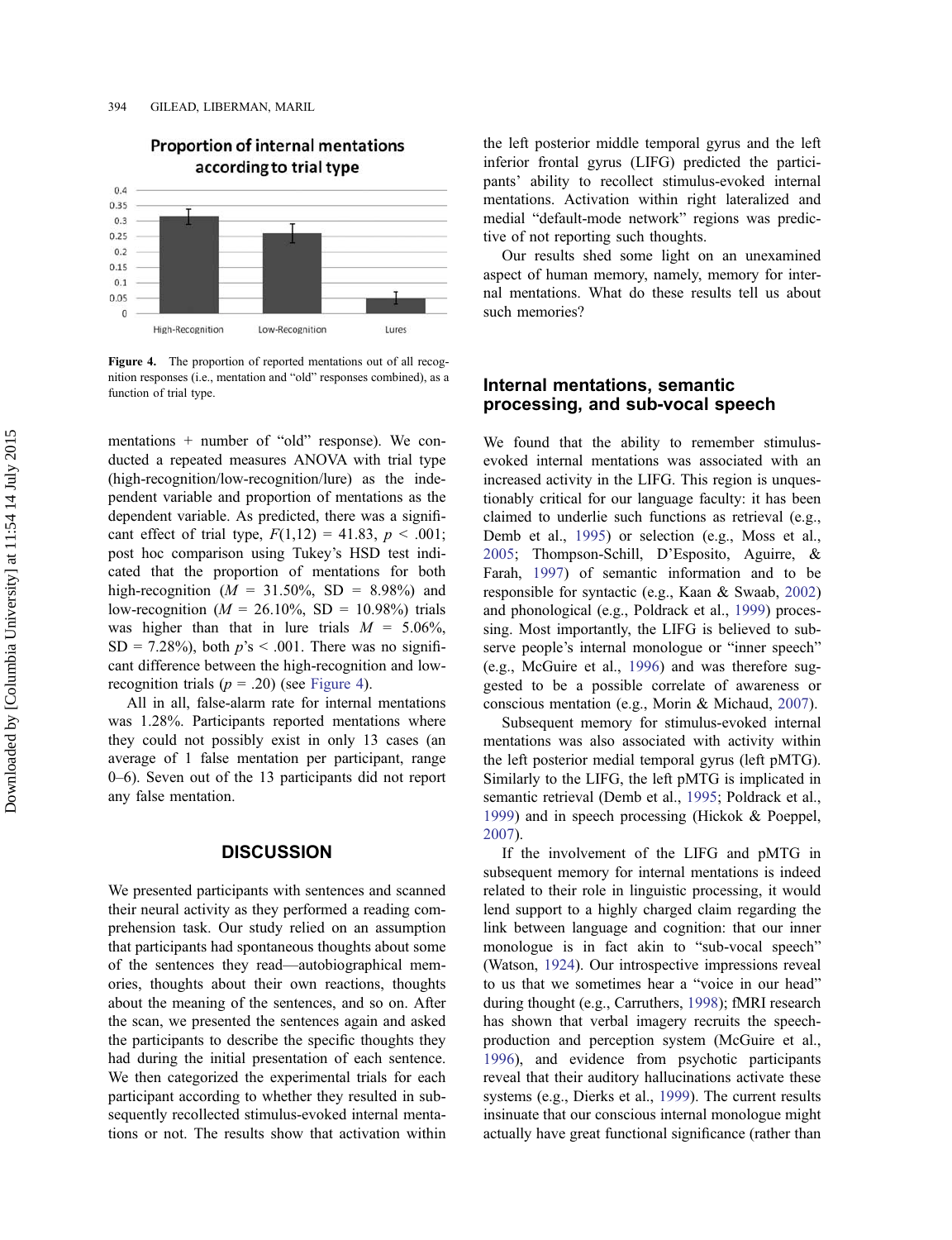

**Proportion of internal mentations** according to trial type

Figure 4. The proportion of reported mentations out of all recognition responses (i.e., mentation and "old" responses combined), as a function of trial type.

mentations + number of "old" response). We conducted a repeated measures ANOVA with trial type (high-recognition/low-recognition/lure) as the independent variable and proportion of mentations as the dependent variable. As predicted, there was a significant effect of trial type,  $F(1,12) = 41.83$ ,  $p < .001$ ; post hoc comparison using Tukey's HSD test indicated that the proportion of mentations for both high-recognition ( $M = 31.50\%$ , SD = 8.98%) and low-recognition ( $M = 26.10\%$ , SD = 10.98%) trials was higher than that in lure trials  $M = 5.06\%$ ,  $SD = 7.28\%$ , both  $p's < .001$ . There was no significant difference between the high-recognition and lowrecognition trials ( $p = .20$ ) (see Figure 4).

All in all, false-alarm rate for internal mentations was 1.28%. Participants reported mentations where they could not possibly exist in only 13 cases (an average of 1 false mentation per participant, range 0–6). Seven out of the 13 participants did not report any false mentation.

# **DISCUSSION**

We presented participants with sentences and scanned their neural activity as they performed a reading comprehension task. Our study relied on an assumption that participants had spontaneous thoughts about some of the sentences they read—autobiographical memories, thoughts about their own reactions, thoughts about the meaning of the sentences, and so on. After the scan, we presented the sentences again and asked the participants to describe the specific thoughts they had during the initial presentation of each sentence. We then categorized the experimental trials for each participant according to whether they resulted in subsequently recollected stimulus-evoked internal mentations or not. The results show that activation within

the left posterior middle temporal gyrus and the left inferior frontal gyrus (LIFG) predicted the participants' ability to recollect stimulus-evoked internal mentations. Activation within right lateralized and medial "default-mode network" regions was predictive of not reporting such thoughts.

Our results shed some light on an unexamined aspect of human memory, namely, memory for internal mentations. What do these results tell us about such memories?

# Internal mentations, semantic processing, and sub-vocal speech

We found that the ability to remember stimulusevoked internal mentations was associated with an increased activity in the LIFG. This region is unquestionably critical for our language faculty: it has been claimed to underlie such functions as retrieval (e.g., Demb et al., [1995](#page-12-0)) or selection (e.g., Moss et al., [2005](#page-12-0); Thompson-Schill, D'Esposito, Aguirre, & Farah, [1997](#page-12-0)) of semantic information and to be responsible for syntactic (e.g., Kaan & Swaab, [2002\)](#page-12-0) and phonological (e.g., Poldrack et al., [1999](#page-12-0)) processing. Most importantly, the LIFG is believed to subserve people's internal monologue or "inner speech" (e.g., McGuire et al., [1996](#page-12-0)) and was therefore suggested to be a possible correlate of awareness or conscious mentation (e.g., Morin & Michaud, [2007](#page-12-0)).

Subsequent memory for stimulus-evoked internal mentations was also associated with activity within the left posterior medial temporal gyrus (left pMTG). Similarly to the LIFG, the left pMTG is implicated in semantic retrieval (Demb et al., [1995](#page-12-0); Poldrack et al., [1999](#page-12-0)) and in speech processing (Hickok & Poeppel, [2007](#page-12-0)).

If the involvement of the LIFG and pMTG in subsequent memory for internal mentations is indeed related to their role in linguistic processing, it would lend support to a highly charged claim regarding the link between language and cognition: that our inner monologue is in fact akin to "sub-vocal speech" (Watson, [1924](#page-13-0)). Our introspective impressions reveal to us that we sometimes hear a "voice in our head" during thought (e.g., Carruthers, [1998](#page-12-0)); fMRI research has shown that verbal imagery recruits the speechproduction and perception system (McGuire et al., [1996](#page-12-0)), and evidence from psychotic participants reveal that their auditory hallucinations activate these systems (e.g., Dierks et al., [1999\)](#page-12-0). The current results insinuate that our conscious internal monologue might actually have great functional significance (rather than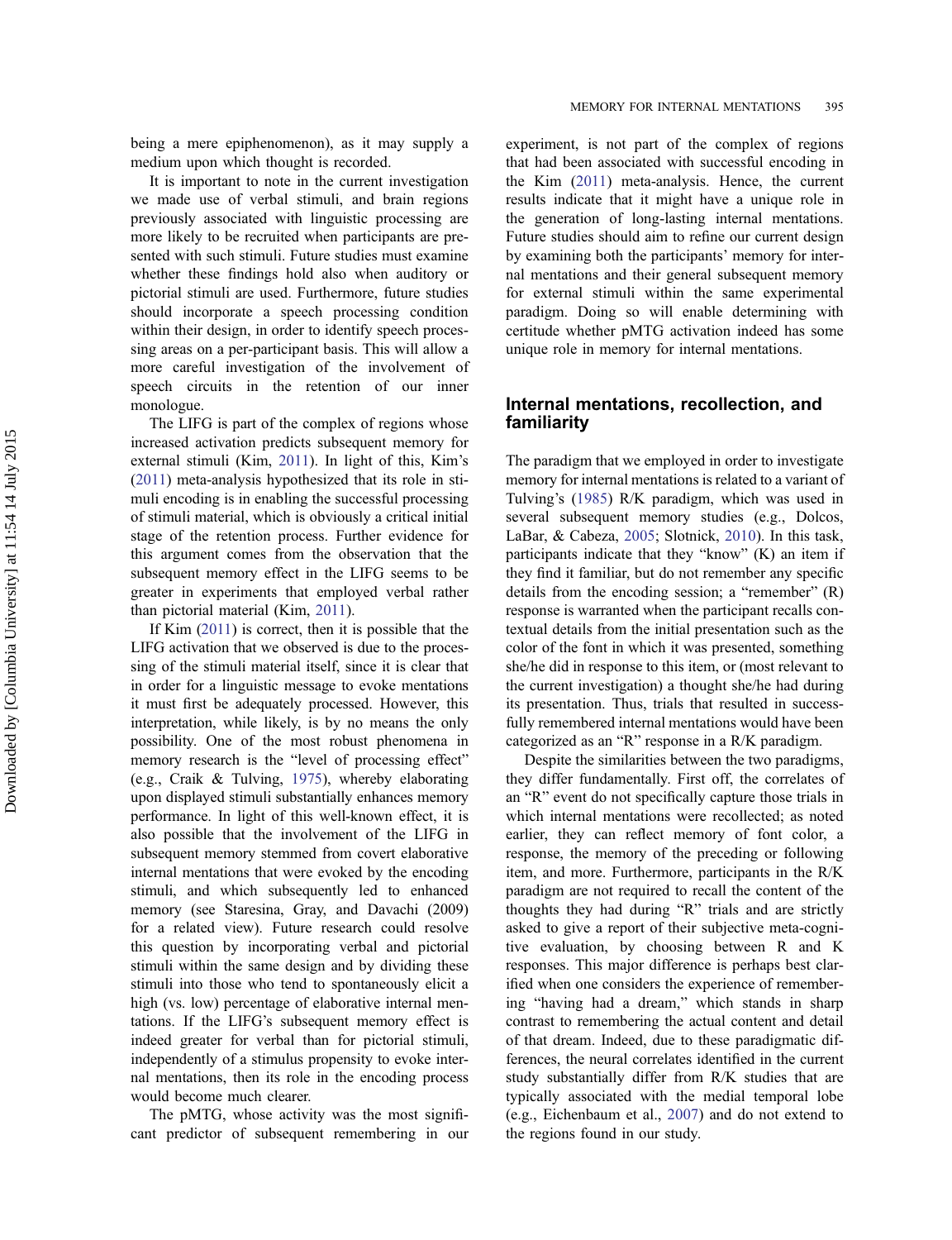being a mere epiphenomenon), as it may supply a medium upon which thought is recorded.

It is important to note in the current investigation we made use of verbal stimuli, and brain regions previously associated with linguistic processing are more likely to be recruited when participants are presented with such stimuli. Future studies must examine whether these findings hold also when auditory or pictorial stimuli are used. Furthermore, future studies should incorporate a speech processing condition within their design, in order to identify speech processing areas on a per-participant basis. This will allow a more careful investigation of the involvement of speech circuits in the retention of our inner monologue.

The LIFG is part of the complex of regions whose increased activation predicts subsequent memory for external stimuli (Kim, [2011](#page-12-0)). In light of this, Kim's ([2011\)](#page-12-0) meta-analysis hypothesized that its role in stimuli encoding is in enabling the successful processing of stimuli material, which is obviously a critical initial stage of the retention process. Further evidence for this argument comes from the observation that the subsequent memory effect in the LIFG seems to be greater in experiments that employed verbal rather than pictorial material (Kim, [2011\)](#page-12-0).

If Kim [\(2011](#page-12-0)) is correct, then it is possible that the LIFG activation that we observed is due to the processing of the stimuli material itself, since it is clear that in order for a linguistic message to evoke mentations it must first be adequately processed. However, this interpretation, while likely, is by no means the only possibility. One of the most robust phenomena in memory research is the "level of processing effect" (e.g., Craik & Tulving, [1975](#page-12-0)), whereby elaborating upon displayed stimuli substantially enhances memory performance. In light of this well-known effect, it is also possible that the involvement of the LIFG in subsequent memory stemmed from covert elaborative internal mentations that were evoked by the encoding stimuli, and which subsequently led to enhanced memory (see Staresina, Gray, and Davachi (2009) for a related view). Future research could resolve this question by incorporating verbal and pictorial stimuli within the same design and by dividing these stimuli into those who tend to spontaneously elicit a high (vs. low) percentage of elaborative internal mentations. If the LIFG's subsequent memory effect is indeed greater for verbal than for pictorial stimuli, independently of a stimulus propensity to evoke internal mentations, then its role in the encoding process would become much clearer.

The pMTG, whose activity was the most significant predictor of subsequent remembering in our experiment, is not part of the complex of regions that had been associated with successful encoding in the Kim ([2011\)](#page-12-0) meta-analysis. Hence, the current results indicate that it might have a unique role in the generation of long-lasting internal mentations. Future studies should aim to refine our current design by examining both the participants' memory for internal mentations and their general subsequent memory for external stimuli within the same experimental paradigm. Doing so will enable determining with certitude whether pMTG activation indeed has some unique role in memory for internal mentations.

# Internal mentations, recollection, and familiarity

The paradigm that we employed in order to investigate memory for internal mentations is related to a variant of Tulving's [\(1985](#page-13-0)) R/K paradigm, which was used in several subsequent memory studies (e.g., Dolcos, LaBar, & Cabeza, [2005;](#page-12-0) Slotnick, [2010](#page-12-0)). In this task, participants indicate that they "know" (K) an item if they find it familiar, but do not remember any specific details from the encoding session; a "remember" (R) response is warranted when the participant recalls contextual details from the initial presentation such as the color of the font in which it was presented, something she/he did in response to this item, or (most relevant to the current investigation) a thought she/he had during its presentation. Thus, trials that resulted in successfully remembered internal mentations would have been categorized as an "R" response in a R/K paradigm.

Despite the similarities between the two paradigms, they differ fundamentally. First off, the correlates of an "R" event do not specifically capture those trials in which internal mentations were recollected; as noted earlier, they can reflect memory of font color, a response, the memory of the preceding or following item, and more. Furthermore, participants in the R/K paradigm are not required to recall the content of the thoughts they had during "R" trials and are strictly asked to give a report of their subjective meta-cognitive evaluation, by choosing between R and K responses. This major difference is perhaps best clarified when one considers the experience of remembering "having had a dream," which stands in sharp contrast to remembering the actual content and detail of that dream. Indeed, due to these paradigmatic differences, the neural correlates identified in the current study substantially differ from R/K studies that are typically associated with the medial temporal lobe (e.g., Eichenbaum et al., [2007](#page-12-0)) and do not extend to the regions found in our study.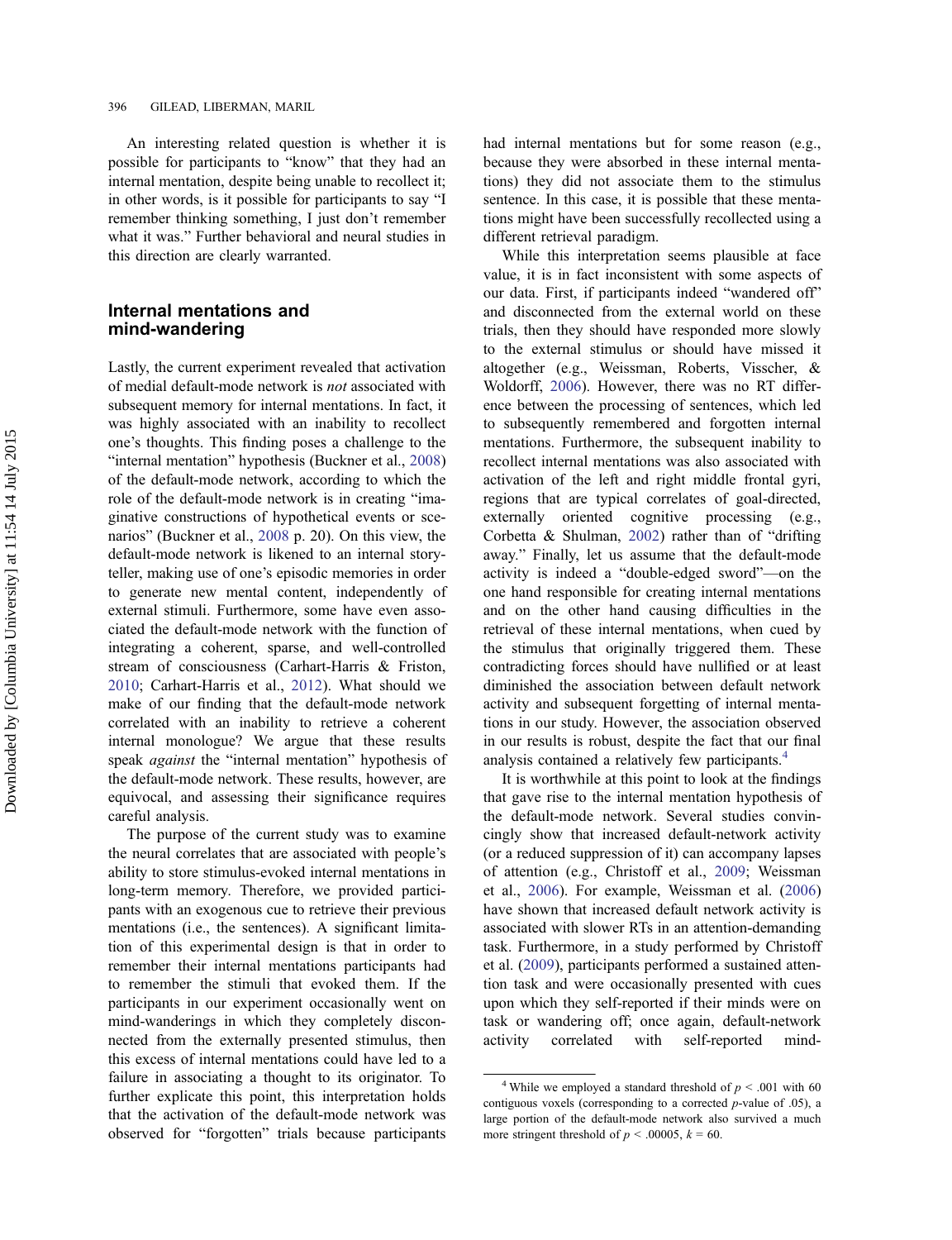An interesting related question is whether it is possible for participants to "know" that they had an internal mentation, despite being unable to recollect it; in other words, is it possible for participants to say "I remember thinking something, I just don't remember what it was." Further behavioral and neural studies in this direction are clearly warranted.

## Internal mentations and mind-wandering

Lastly, the current experiment revealed that activation of medial default-mode network is not associated with subsequent memory for internal mentations. In fact, it was highly associated with an inability to recollect one's thoughts. This finding poses a challenge to the "internal mentation" hypothesis (Buckner et al., [2008](#page-11-0)) of the default-mode network, according to which the role of the default-mode network is in creating "imaginative constructions of hypothetical events or scenarios" (Buckner et al., [2008](#page-11-0) p. 20). On this view, the default-mode network is likened to an internal storyteller, making use of one's episodic memories in order to generate new mental content, independently of external stimuli. Furthermore, some have even associated the default-mode network with the function of integrating a coherent, sparse, and well-controlled stream of consciousness (Carhart-Harris & Friston, [2010](#page-12-0); Carhart-Harris et al., [2012\)](#page-12-0). What should we make of our finding that the default-mode network correlated with an inability to retrieve a coherent internal monologue? We argue that these results speak *against* the "internal mentation" hypothesis of the default-mode network. These results, however, are equivocal, and assessing their significance requires careful analysis.

The purpose of the current study was to examine the neural correlates that are associated with people's ability to store stimulus-evoked internal mentations in long-term memory. Therefore, we provided participants with an exogenous cue to retrieve their previous mentations (i.e., the sentences). A significant limitation of this experimental design is that in order to remember their internal mentations participants had to remember the stimuli that evoked them. If the participants in our experiment occasionally went on mind-wanderings in which they completely disconnected from the externally presented stimulus, then this excess of internal mentations could have led to a failure in associating a thought to its originator. To further explicate this point, this interpretation holds that the activation of the default-mode network was observed for "forgotten" trials because participants

had internal mentations but for some reason (e.g., because they were absorbed in these internal mentations) they did not associate them to the stimulus sentence. In this case, it is possible that these mentations might have been successfully recollected using a different retrieval paradigm.

While this interpretation seems plausible at face value, it is in fact inconsistent with some aspects of our data. First, if participants indeed "wandered off" and disconnected from the external world on these trials, then they should have responded more slowly to the external stimulus or should have missed it altogether (e.g., Weissman, Roberts, Visscher, & Woldorff, [2006](#page-13-0)). However, there was no RT difference between the processing of sentences, which led to subsequently remembered and forgotten internal mentations. Furthermore, the subsequent inability to recollect internal mentations was also associated with activation of the left and right middle frontal gyri, regions that are typical correlates of goal-directed, externally oriented cognitive processing (e.g., Corbetta & Shulman, [2002](#page-12-0)) rather than of "drifting away." Finally, let us assume that the default-mode activity is indeed a "double-edged sword"—on the one hand responsible for creating internal mentations and on the other hand causing difficulties in the retrieval of these internal mentations, when cued by the stimulus that originally triggered them. These contradicting forces should have nullified or at least diminished the association between default network activity and subsequent forgetting of internal mentations in our study. However, the association observed in our results is robust, despite the fact that our final analysis contained a relatively few participants.<sup>4</sup>

It is worthwhile at this point to look at the findings that gave rise to the internal mentation hypothesis of the default-mode network. Several studies convincingly show that increased default-network activity (or a reduced suppression of it) can accompany lapses of attention (e.g., Christoff et al., [2009;](#page-12-0) Weissman et al., [2006](#page-13-0)). For example, Weissman et al. ([2006\)](#page-13-0) have shown that increased default network activity is associated with slower RTs in an attention-demanding task. Furthermore, in a study performed by Christoff et al. [\(2009](#page-12-0)), participants performed a sustained attention task and were occasionally presented with cues upon which they self-reported if their minds were on task or wandering off; once again, default-network activity correlated with self-reported mind-

<sup>&</sup>lt;sup>4</sup> While we employed a standard threshold of  $p < .001$  with 60 contiguous voxels (corresponding to a corrected  $p$ -value of .05), a large portion of the default-mode network also survived a much more stringent threshold of  $p < .00005$ ,  $k = 60$ .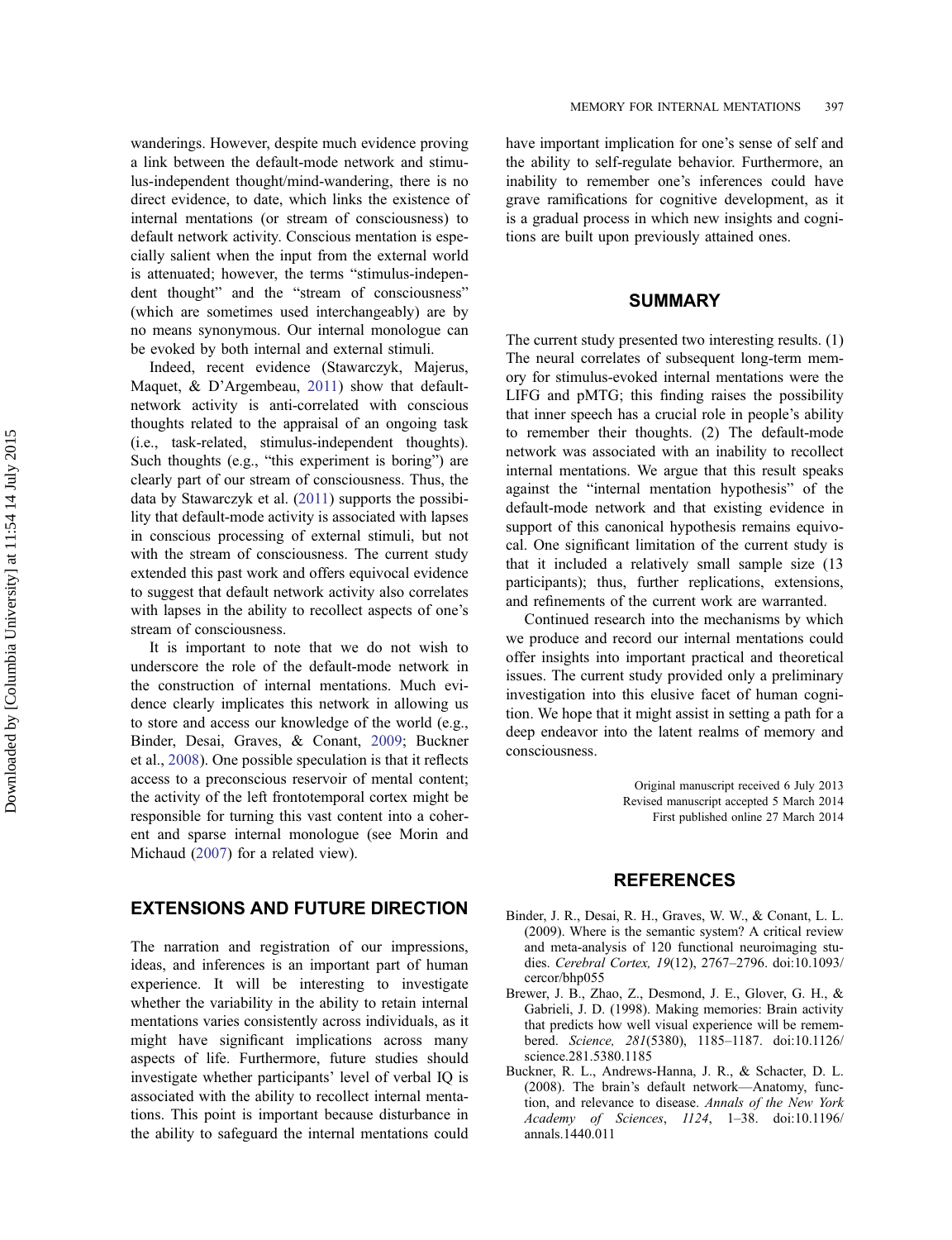<span id="page-11-0"></span>wanderings. However, despite much evidence proving a link between the default-mode network and stimulus-independent thought/mind-wandering, there is no direct evidence, to date, which links the existence of internal mentations (or stream of consciousness) to default network activity. Conscious mentation is especially salient when the input from the external world is attenuated; however, the terms "stimulus-independent thought" and the "stream of consciousness" (which are sometimes used interchangeably) are by no means synonymous. Our internal monologue can be evoked by both internal and external stimuli.

Indeed, recent evidence (Stawarczyk, Majerus, Maquet, & D'Argembeau, [2011\)](#page-12-0) show that defaultnetwork activity is anti-correlated with conscious thoughts related to the appraisal of an ongoing task (i.e., task-related, stimulus-independent thoughts). Such thoughts (e.g., "this experiment is boring") are clearly part of our stream of consciousness. Thus, the data by Stawarczyk et al. [\(2011\)](#page-12-0) supports the possibility that default-mode activity is associated with lapses in conscious processing of external stimuli, but not with the stream of consciousness. The current study extended this past work and offers equivocal evidence to suggest that default network activity also correlates with lapses in the ability to recollect aspects of one's stream of consciousness.

It is important to note that we do not wish to underscore the role of the default-mode network in the construction of internal mentations. Much evidence clearly implicates this network in allowing us to store and access our knowledge of the world (e.g., Binder, Desai, Graves, & Conant, 2009; Buckner et al., 2008). One possible speculation is that it reflects access to a preconscious reservoir of mental content; the activity of the left frontotemporal cortex might be responsible for turning this vast content into a coherent and sparse internal monologue (see Morin and Michaud [\(2007](#page-12-0)) for a related view).

# EXTENSIONS AND FUTURE DIRECTION

The narration and registration of our impressions, ideas, and inferences is an important part of human experience. It will be interesting to investigate whether the variability in the ability to retain internal mentations varies consistently across individuals, as it might have significant implications across many aspects of life. Furthermore, future studies should investigate whether participants' level of verbal IQ is associated with the ability to recollect internal mentations. This point is important because disturbance in the ability to safeguard the internal mentations could have important implication for one's sense of self and the ability to self-regulate behavior. Furthermore, an inability to remember one's inferences could have grave ramifications for cognitive development, as it is a gradual process in which new insights and cognitions are built upon previously attained ones.

# SUMMARY

The current study presented two interesting results. (1) The neural correlates of subsequent long-term memory for stimulus-evoked internal mentations were the LIFG and pMTG; this finding raises the possibility that inner speech has a crucial role in people's ability to remember their thoughts. (2) The default-mode network was associated with an inability to recollect internal mentations. We argue that this result speaks against the "internal mentation hypothesis" of the default-mode network and that existing evidence in support of this canonical hypothesis remains equivocal. One significant limitation of the current study is that it included a relatively small sample size (13 participants); thus, further replications, extensions, and refinements of the current work are warranted.

Continued research into the mechanisms by which we produce and record our internal mentations could offer insights into important practical and theoretical issues. The current study provided only a preliminary investigation into this elusive facet of human cognition. We hope that it might assist in setting a path for a deep endeavor into the latent realms of memory and consciousness.

> Original manuscript received 6 July 2013 Revised manuscript accepted 5 March 2014 First published online 27 March 2014

## REFERENCES

- Binder, J. R., Desai, R. H., Graves, W. W., & Conant, L. L. (2009). Where is the semantic system? A critical review and meta-analysis of 120 functional neuroimaging studies. Cerebral Cortex, 19(12), 2767–2796. doi:10.1093/ cercor/bhp055
- Brewer, J. B., Zhao, Z., Desmond, J. E., Glover, G. H., & Gabrieli, J. D. (1998). Making memories: Brain activity that predicts how well visual experience will be remembered. Science, 281(5380), 1185–1187. doi:10.1126/ science.281.5380.1185
- Buckner, R. L., Andrews-Hanna, J. R., & Schacter, D. L. (2008). The brain's default network—Anatomy, function, and relevance to disease. Annals of the New York Academy of Sciences, 1124, 1–38. doi:10.1196/ annals.1440.011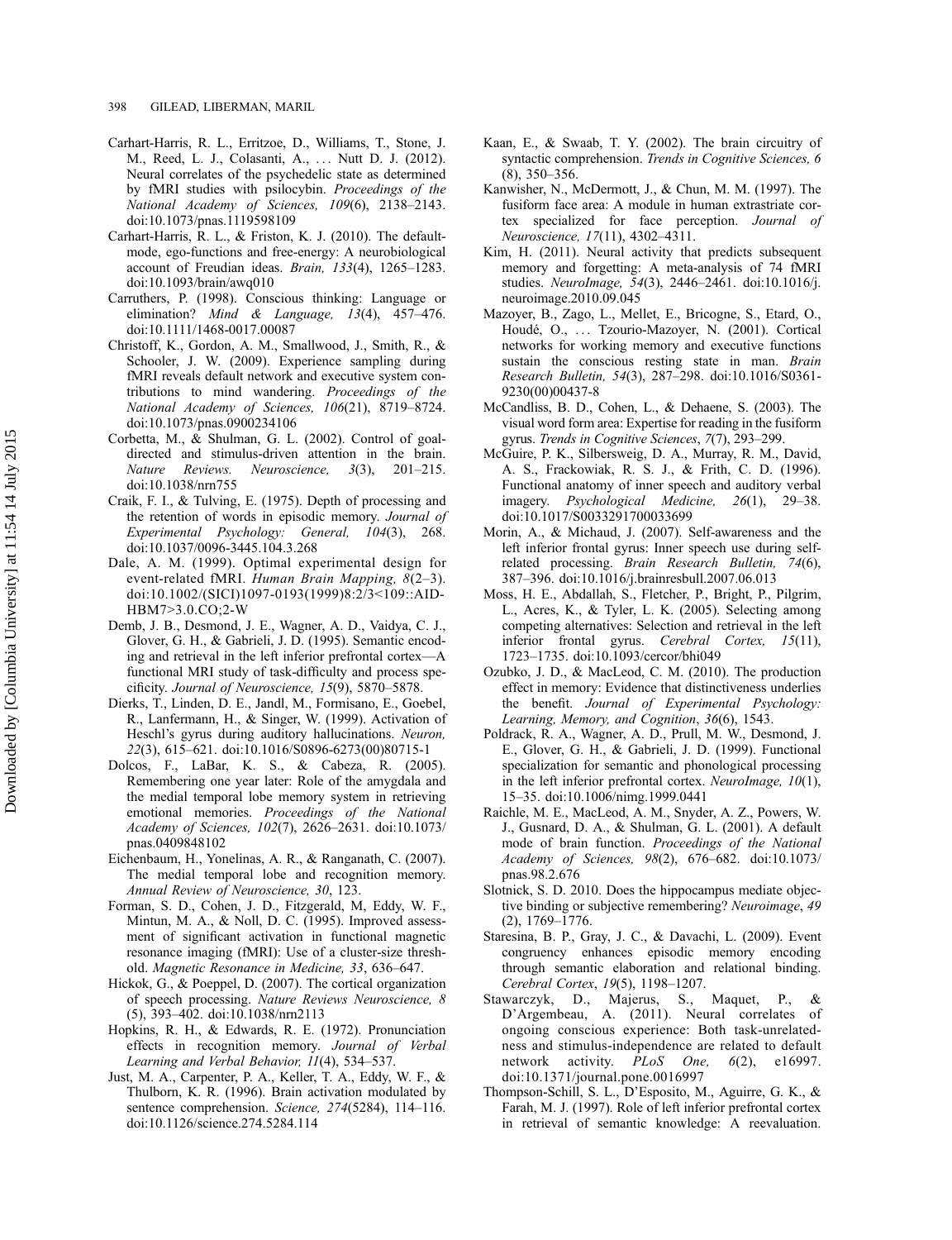- <span id="page-12-0"></span>Carhart-Harris, R. L., Erritzoe, D., Williams, T., Stone, J. M., Reed, L. J., Colasanti, A., ... Nutt D. J. (2012). Neural correlates of the psychedelic state as determined by fMRI studies with psilocybin. Proceedings of the National Academy of Sciences, 109(6), 2138–2143. doi:10.1073/pnas.1119598109
- Carhart-Harris, R. L., & Friston, K. J. (2010). The defaultmode, ego-functions and free-energy: A neurobiological account of Freudian ideas. Brain, 133(4), 1265–1283. doi:10.1093/brain/awq010
- Carruthers, P. (1998). Conscious thinking: Language or elimination? Mind & Language,  $13(4)$ , 457-476. doi:10.1111/1468-0017.00087
- Christoff, K., Gordon, A. M., Smallwood, J., Smith, R., & Schooler, J. W. (2009). Experience sampling during fMRI reveals default network and executive system contributions to mind wandering. Proceedings of the National Academy of Sciences, 106(21), 8719–8724. doi:10.1073/pnas.0900234106
- Corbetta, M., & Shulman, G. L. (2002). Control of goaldirected and stimulus-driven attention in the brain. Nature Reviews. Neuroscience, 3(3), 201–215. doi:10.1038/nrn755
- Craik, F. I., & Tulving, E. (1975). Depth of processing and the retention of words in episodic memory. Journal of Experimental Psychology: General, 104(3), 268. doi:10.1037/0096-3445.104.3.268
- Dale, A. M. (1999). Optimal experimental design for event-related fMRI. Human Brain Mapping, 8(2–3). doi:10.1002/(SICI)1097-0193(1999)8:2/3<109::AID-HBM7>3.0.CO;2-W
- Demb, J. B., Desmond, J. E., Wagner, A. D., Vaidya, C. J., Glover, G. H., & Gabrieli, J. D. (1995). Semantic encoding and retrieval in the left inferior prefrontal cortex—A functional MRI study of task-difficulty and process specificity. Journal of Neuroscience, 15(9), 5870–5878.
- Dierks, T., Linden, D. E., Jandl, M., Formisano, E., Goebel, R., Lanfermann, H., & Singer, W. (1999). Activation of Heschl's gyrus during auditory hallucinations. Neuron, 22(3), 615–621. doi:10.1016/S0896-6273(00)80715-1
- Dolcos, F., LaBar, K. S., & Cabeza, R. (2005). Remembering one year later: Role of the amygdala and the medial temporal lobe memory system in retrieving emotional memories. Proceedings of the National Academy of Sciences, 102(7), 2626–2631. doi:10.1073/ pnas.0409848102
- Eichenbaum, H., Yonelinas, A. R., & Ranganath, C. (2007). The medial temporal lobe and recognition memory. Annual Review of Neuroscience, 30, 123.
- Forman, S. D., Cohen, J. D., Fitzgerald, M, Eddy, W. F., Mintun, M. A., & Noll, D. C. (1995). Improved assessment of significant activation in functional magnetic resonance imaging (fMRI): Use of a cluster-size threshold. Magnetic Resonance in Medicine, 33, 636–647.
- Hickok, G., & Poeppel, D. (2007). The cortical organization of speech processing. Nature Reviews Neuroscience, 8 (5), 393–402. doi:10.1038/nrn2113
- Hopkins, R. H., & Edwards, R. E. (1972). Pronunciation effects in recognition memory. Journal of Verbal Learning and Verbal Behavior, 11(4), 534–537.
- Just, M. A., Carpenter, P. A., Keller, T. A., Eddy, W. F., & Thulborn, K. R. (1996). Brain activation modulated by sentence comprehension. Science, 274(5284), 114-116. doi:10.1126/science.274.5284.114
- Kaan, E., & Swaab, T. Y. (2002). The brain circuitry of syntactic comprehension. Trends in Cognitive Sciences, 6 (8), 350–356.
- Kanwisher, N., McDermott, J., & Chun, M. M. (1997). The fusiform face area: A module in human extrastriate cortex specialized for face perception. Journal of Neuroscience, 17(11), 4302–4311.
- Kim, H. (2011). Neural activity that predicts subsequent memory and forgetting: A meta-analysis of 74 fMRI studies. NeuroImage, 54(3), 2446–2461. doi:10.1016/j. neuroimage.2010.09.045
- Mazoyer, B., Zago, L., Mellet, E., Bricogne, S., Etard, O., Houdé, O., ... Tzourio-Mazoyer, N. (2001). Cortical networks for working memory and executive functions sustain the conscious resting state in man. Brain Research Bulletin, 54(3), 287–298. doi:10.1016/S0361- 9230(00)00437-8
- McCandliss, B. D., Cohen, L., & Dehaene, S. (2003). The visual word form area: Expertise for reading in the fusiform gyrus. Trends in Cognitive Sciences, 7(7), 293–299.
- McGuire, P. K., Silbersweig, D. A., Murray, R. M., David, A. S., Frackowiak, R. S. J., & Frith, C. D. (1996). Functional anatomy of inner speech and auditory verbal imagery. Psychological Medicine, 26(1), 29–38. doi:10.1017/S0033291700033699
- Morin, A., & Michaud, J. (2007). Self-awareness and the left inferior frontal gyrus: Inner speech use during selfrelated processing. Brain Research Bulletin, 74(6), 387–396. doi:10.1016/j.brainresbull.2007.06.013
- Moss, H. E., Abdallah, S., Fletcher, P., Bright, P., Pilgrim, L., Acres, K., & Tyler, L. K. (2005). Selecting among competing alternatives: Selection and retrieval in the left inferior frontal gyrus. Cerebral Cortex, 15(11), 1723–1735. doi:10.1093/cercor/bhi049
- Ozubko, J. D., & MacLeod, C. M. (2010). The production effect in memory: Evidence that distinctiveness underlies the benefit. Journal of Experimental Psychology: Learning, Memory, and Cognition, 36(6), 1543.
- Poldrack, R. A., Wagner, A. D., Prull, M. W., Desmond, J. E., Glover, G. H., & Gabrieli, J. D. (1999). Functional specialization for semantic and phonological processing in the left inferior prefrontal cortex. NeuroImage, 10(1), 15–35. doi:10.1006/nimg.1999.0441
- Raichle, M. E., MacLeod, A. M., Snyder, A. Z., Powers, W. J., Gusnard, D. A., & Shulman, G. L. (2001). A default mode of brain function. Proceedings of the National Academy of Sciences, 98(2), 676–682. doi:10.1073/ pnas.98.2.676
- Slotnick, S. D. 2010. Does the hippocampus mediate objective binding or subjective remembering? Neuroimage, 49 (2), 1769–1776.
- Staresina, B. P., Gray, J. C., & Davachi, L. (2009). Event congruency enhances episodic memory encoding through semantic elaboration and relational binding. Cerebral Cortex, 19(5), 1198–1207.
- Stawarczyk, D., Majerus, S., Maquet, P., & D'Argembeau, A. (2011). Neural correlates of ongoing conscious experience: Both task-unrelatedness and stimulus-independence are related to default network activity. PLoS One, 6(2), e16997. doi:10.1371/journal.pone.0016997
- Thompson-Schill, S. L., D'Esposito, M., Aguirre, G. K., & Farah, M. J. (1997). Role of left inferior prefrontal cortex in retrieval of semantic knowledge: A reevaluation.